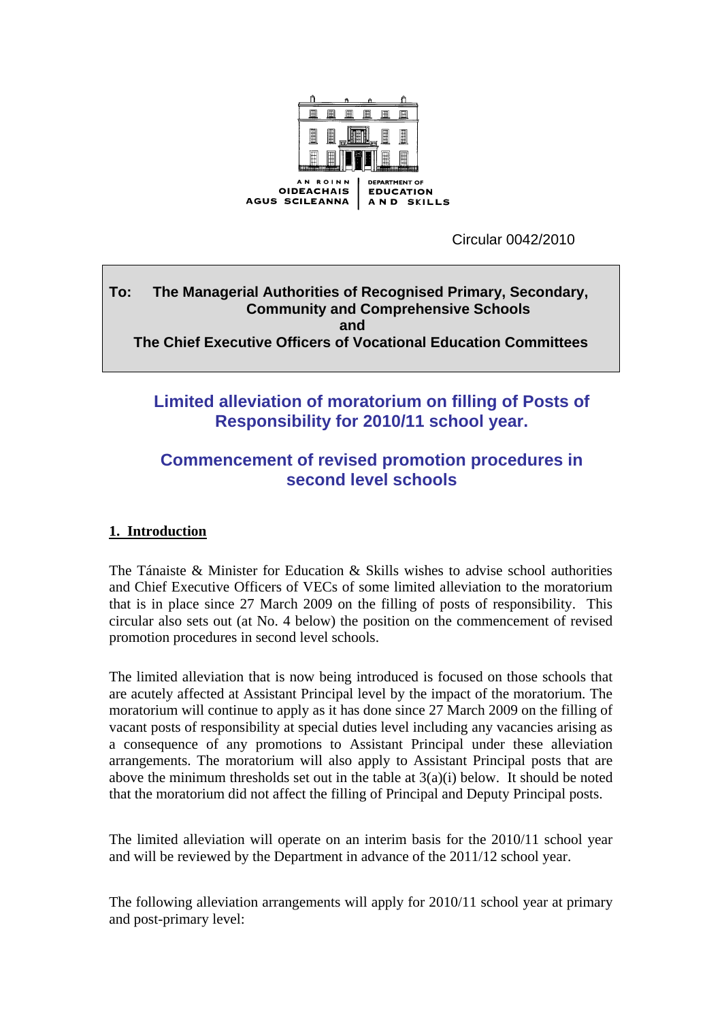

Circular 0042/2010

### **To: The Managerial Authorities of Recognised Primary, Secondary, Community and Comprehensive Schools and**  $\alpha$  and  $\alpha$  and  $\alpha$  and  $\alpha$ **The Chief Executive Officers of Vocational Education Committees**

# **Limited alleviation of moratorium on filling of Posts of Responsibility for 2010/11 school year.**

# **Commencement of revised promotion procedures in second level schools**

# **1. Introduction**

The Tánaiste & Minister for Education & Skills wishes to advise school authorities and Chief Executive Officers of VECs of some limited alleviation to the moratorium that is in place since 27 March 2009 on the filling of posts of responsibility. This circular also sets out (at No. 4 below) the position on the commencement of revised promotion procedures in second level schools.

The limited alleviation that is now being introduced is focused on those schools that are acutely affected at Assistant Principal level by the impact of the moratorium. The moratorium will continue to apply as it has done since 27 March 2009 on the filling of vacant posts of responsibility at special duties level including any vacancies arising as a consequence of any promotions to Assistant Principal under these alleviation arrangements. The moratorium will also apply to Assistant Principal posts that are above the minimum thresholds set out in the table at 3(a)(i) below. It should be noted that the moratorium did not affect the filling of Principal and Deputy Principal posts.

The limited alleviation will operate on an interim basis for the 2010/11 school year and will be reviewed by the Department in advance of the 2011/12 school year.

The following alleviation arrangements will apply for 2010/11 school year at primary and post-primary level: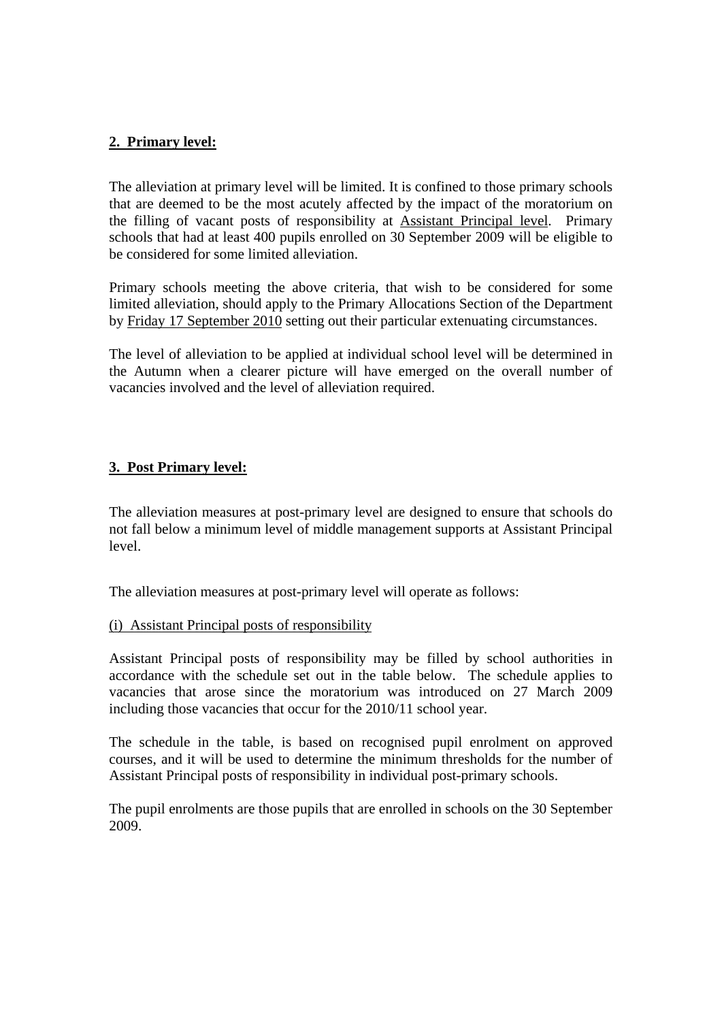### **2. Primary level:**

The alleviation at primary level will be limited. It is confined to those primary schools that are deemed to be the most acutely affected by the impact of the moratorium on the filling of vacant posts of responsibility at Assistant Principal level. Primary schools that had at least 400 pupils enrolled on 30 September 2009 will be eligible to be considered for some limited alleviation.

Primary schools meeting the above criteria, that wish to be considered for some limited alleviation, should apply to the Primary Allocations Section of the Department by Friday 17 September 2010 setting out their particular extenuating circumstances.

The level of alleviation to be applied at individual school level will be determined in the Autumn when a clearer picture will have emerged on the overall number of vacancies involved and the level of alleviation required.

## **3. Post Primary level:**

The alleviation measures at post-primary level are designed to ensure that schools do not fall below a minimum level of middle management supports at Assistant Principal level.

The alleviation measures at post-primary level will operate as follows:

### (i) Assistant Principal posts of responsibility

Assistant Principal posts of responsibility may be filled by school authorities in accordance with the schedule set out in the table below. The schedule applies to vacancies that arose since the moratorium was introduced on 27 March 2009 including those vacancies that occur for the 2010/11 school year.

The schedule in the table, is based on recognised pupil enrolment on approved courses, and it will be used to determine the minimum thresholds for the number of Assistant Principal posts of responsibility in individual post-primary schools.

The pupil enrolments are those pupils that are enrolled in schools on the 30 September 2009.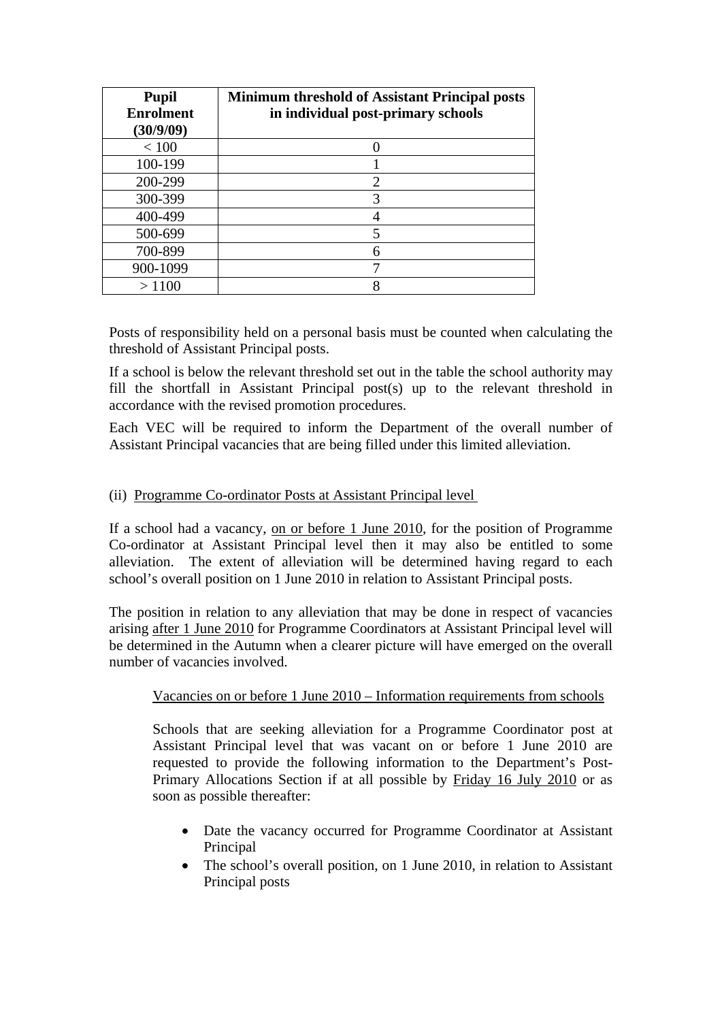| <b>Pupil</b><br><b>Enrolment</b><br>(30/9/09) | <b>Minimum threshold of Assistant Principal posts</b><br>in individual post-primary schools |
|-----------------------------------------------|---------------------------------------------------------------------------------------------|
| < 100                                         |                                                                                             |
| 100-199                                       |                                                                                             |
| 200-299                                       | 2                                                                                           |
| 300-399                                       | 3                                                                                           |
| 400-499                                       |                                                                                             |
| 500-699                                       |                                                                                             |
| 700-899                                       |                                                                                             |
| 900-1099                                      |                                                                                             |
| >1100                                         |                                                                                             |

Posts of responsibility held on a personal basis must be counted when calculating the threshold of Assistant Principal posts.

If a school is below the relevant threshold set out in the table the school authority may fill the shortfall in Assistant Principal post(s) up to the relevant threshold in accordance with the revised promotion procedures.

Each VEC will be required to inform the Department of the overall number of Assistant Principal vacancies that are being filled under this limited alleviation.

## (ii) Programme Co-ordinator Posts at Assistant Principal level

If a school had a vacancy, on or before 1 June 2010, for the position of Programme Co-ordinator at Assistant Principal level then it may also be entitled to some alleviation. The extent of alleviation will be determined having regard to each school's overall position on 1 June 2010 in relation to Assistant Principal posts.

The position in relation to any alleviation that may be done in respect of vacancies arising after 1 June 2010 for Programme Coordinators at Assistant Principal level will be determined in the Autumn when a clearer picture will have emerged on the overall number of vacancies involved.

### Vacancies on or before 1 June 2010 – Information requirements from schools

Schools that are seeking alleviation for a Programme Coordinator post at Assistant Principal level that was vacant on or before 1 June 2010 are requested to provide the following information to the Department's Post-Primary Allocations Section if at all possible by Friday 16 July 2010 or as soon as possible thereafter:

- Date the vacancy occurred for Programme Coordinator at Assistant Principal
- The school's overall position, on 1 June 2010, in relation to Assistant Principal posts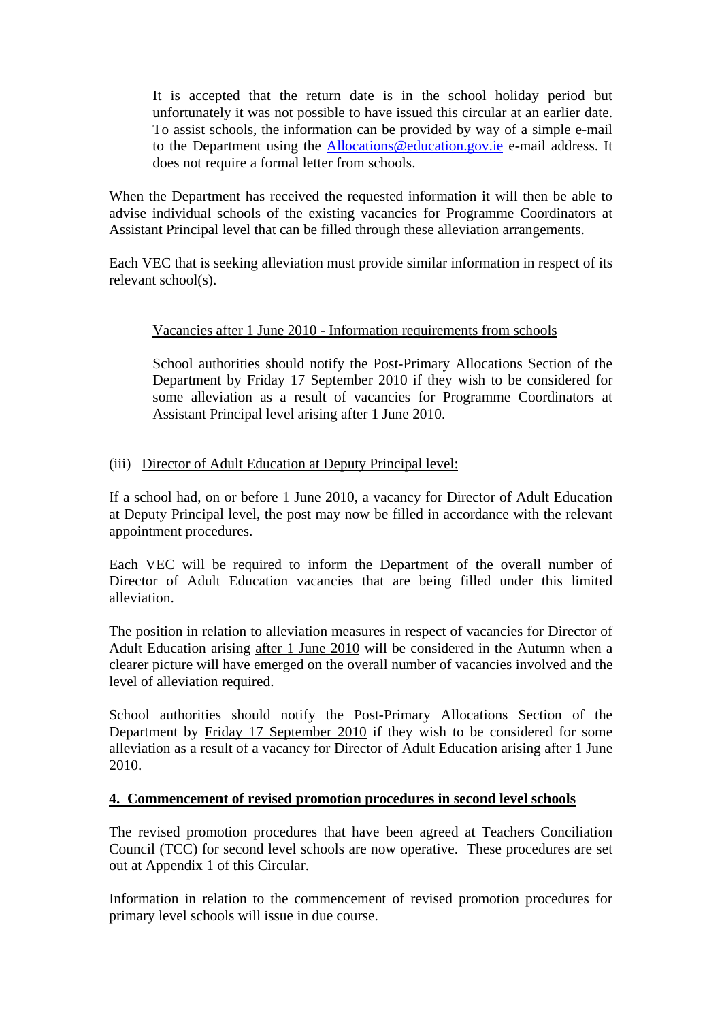It is accepted that the return date is in the school holiday period but unfortunately it was not possible to have issued this circular at an earlier date. To assist schools, the information can be provided by way of a simple e-mail to the Department using the [Allocations@education.gov.ie](mailto:Allocations@education.gov.ie) e-mail address. It does not require a formal letter from schools.

When the Department has received the requested information it will then be able to advise individual schools of the existing vacancies for Programme Coordinators at Assistant Principal level that can be filled through these alleviation arrangements.

Each VEC that is seeking alleviation must provide similar information in respect of its relevant school(s).

### Vacancies after 1 June 2010 - Information requirements from schools

School authorities should notify the Post-Primary Allocations Section of the Department by Friday 17 September 2010 if they wish to be considered for some alleviation as a result of vacancies for Programme Coordinators at Assistant Principal level arising after 1 June 2010.

### (iii) Director of Adult Education at Deputy Principal level:

If a school had, on or before 1 June 2010, a vacancy for Director of Adult Education at Deputy Principal level, the post may now be filled in accordance with the relevant appointment procedures.

Each VEC will be required to inform the Department of the overall number of Director of Adult Education vacancies that are being filled under this limited alleviation.

The position in relation to alleviation measures in respect of vacancies for Director of Adult Education arising after 1 June 2010 will be considered in the Autumn when a clearer picture will have emerged on the overall number of vacancies involved and the level of alleviation required.

School authorities should notify the Post-Primary Allocations Section of the Department by Friday 17 September 2010 if they wish to be considered for some alleviation as a result of a vacancy for Director of Adult Education arising after 1 June 2010.

### **4. Commencement of revised promotion procedures in second level schools**

The revised promotion procedures that have been agreed at Teachers Conciliation Council (TCC) for second level schools are now operative. These procedures are set out at Appendix 1 of this Circular.

Information in relation to the commencement of revised promotion procedures for primary level schools will issue in due course.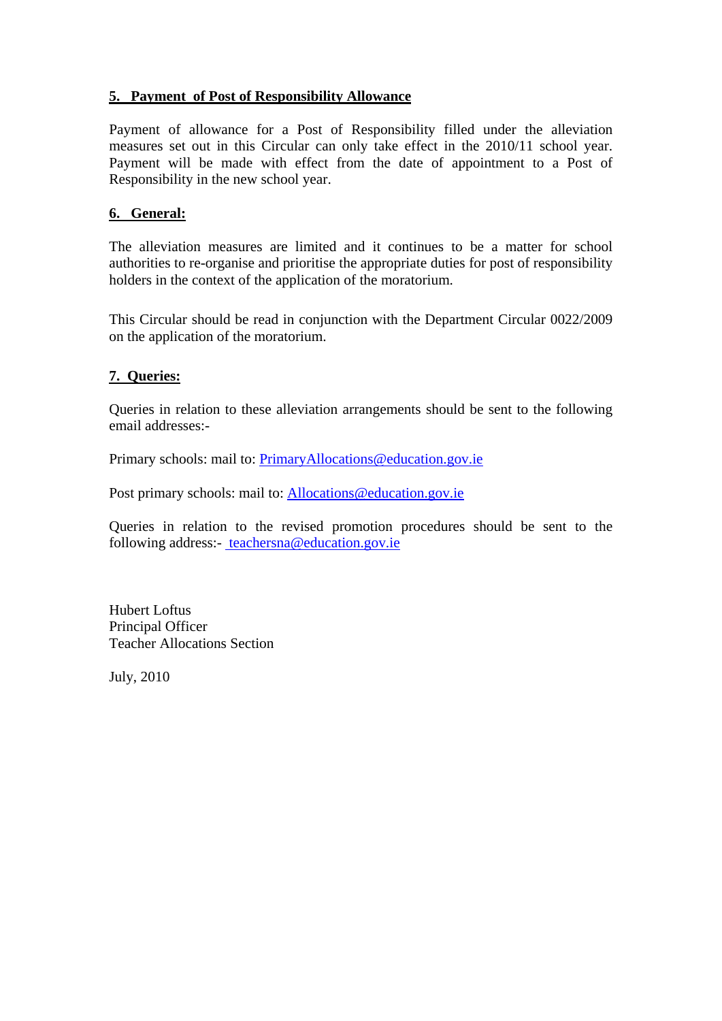### **5. Payment of Post of Responsibility Allowance**

Payment of allowance for a Post of Responsibility filled under the alleviation measures set out in this Circular can only take effect in the 2010/11 school year. Payment will be made with effect from the date of appointment to a Post of Responsibility in the new school year.

### **6. General:**

The alleviation measures are limited and it continues to be a matter for school authorities to re-organise and prioritise the appropriate duties for post of responsibility holders in the context of the application of the moratorium.

This Circular should be read in conjunction with the Department Circular 0022/2009 on the application of the moratorium.

### **7. Queries:**

Queries in relation to these alleviation arrangements should be sent to the following email addresses:-

Primary schools: mail to: [PrimaryAllocations@education.gov.ie](mailto:PrimaryAllocations@education.gov.ie)

Post primary schools: mail to: [Allocations@education.gov.ie](mailto:Allocations@education.gov.ie)

Queries in relation to the revised promotion procedures should be sent to the following address:- [teachersna@education.gov.ie](mailto:%20teachersna@education.gov.ie)

Hubert Loftus Principal Officer Teacher Allocations Section

July, 2010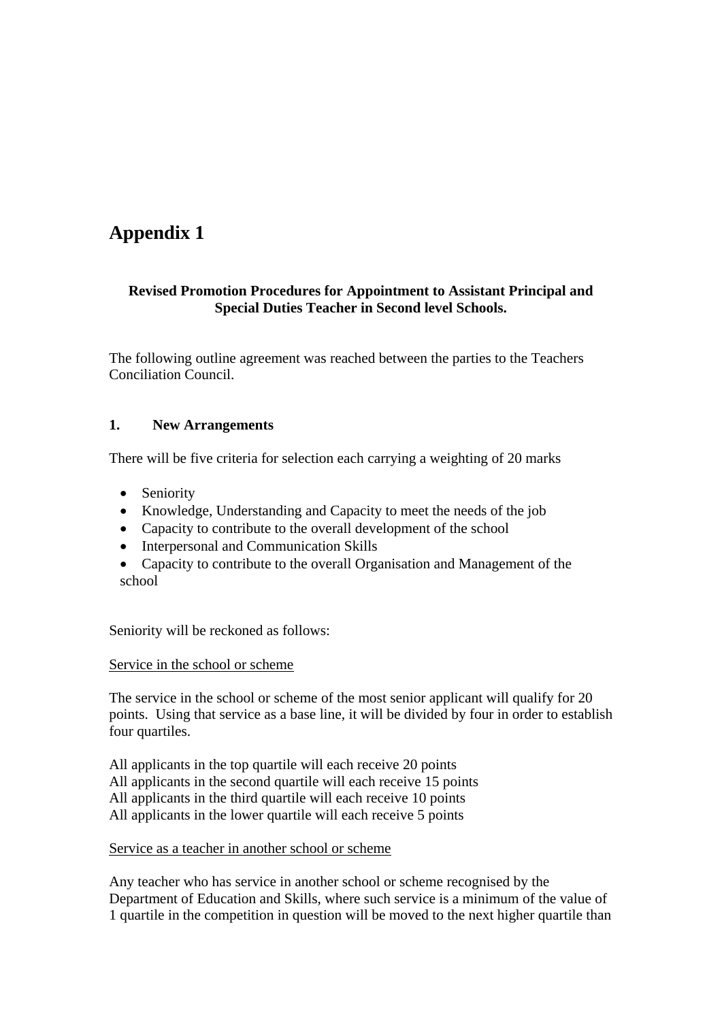# **Appendix 1**

### **Revised Promotion Procedures for Appointment to Assistant Principal and Special Duties Teacher in Second level Schools.**

The following outline agreement was reached between the parties to the Teachers Conciliation Council.

## **1. New Arrangements**

There will be five criteria for selection each carrying a weighting of 20 marks

- Seniority
- Knowledge, Understanding and Capacity to meet the needs of the job
- Capacity to contribute to the overall development of the school
- Interpersonal and Communication Skills
- Capacity to contribute to the overall Organisation and Management of the school

Seniority will be reckoned as follows:

### Service in the school or scheme

The service in the school or scheme of the most senior applicant will qualify for 20 points. Using that service as a base line, it will be divided by four in order to establish four quartiles.

All applicants in the top quartile will each receive 20 points All applicants in the second quartile will each receive 15 points All applicants in the third quartile will each receive 10 points All applicants in the lower quartile will each receive 5 points

Service as a teacher in another school or scheme

Any teacher who has service in another school or scheme recognised by the Department of Education and Skills, where such service is a minimum of the value of 1 quartile in the competition in question will be moved to the next higher quartile than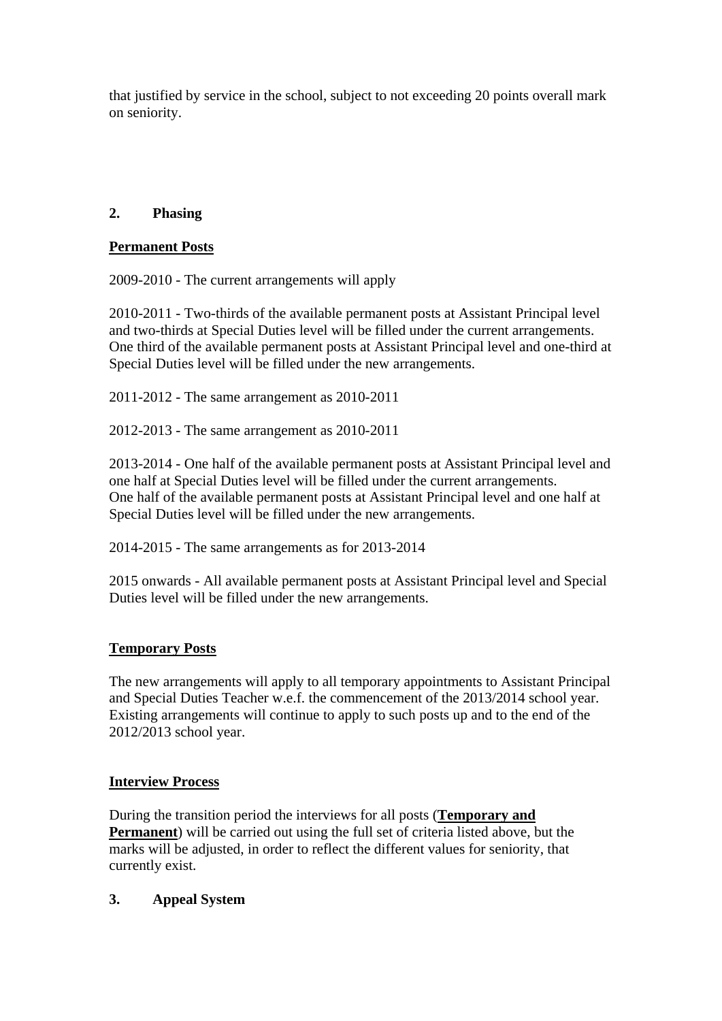that justified by service in the school, subject to not exceeding 20 points overall mark on seniority.

# **2. Phasing**

### **Permanent Posts**

2009-2010 - The current arrangements will apply

2010-2011 - Two-thirds of the available permanent posts at Assistant Principal level and two-thirds at Special Duties level will be filled under the current arrangements. One third of the available permanent posts at Assistant Principal level and one-third at Special Duties level will be filled under the new arrangements.

2011-2012 - The same arrangement as 2010-2011

2012-2013 - The same arrangement as 2010-2011

2013-2014 - One half of the available permanent posts at Assistant Principal level and one half at Special Duties level will be filled under the current arrangements. One half of the available permanent posts at Assistant Principal level and one half at Special Duties level will be filled under the new arrangements.

2014-2015 - The same arrangements as for 2013-2014

2015 onwards - All available permanent posts at Assistant Principal level and Special Duties level will be filled under the new arrangements.

## **Temporary Posts**

The new arrangements will apply to all temporary appointments to Assistant Principal and Special Duties Teacher w.e.f. the commencement of the 2013/2014 school year. Existing arrangements will continue to apply to such posts up and to the end of the 2012/2013 school year.

### **Interview Process**

During the transition period the interviews for all posts (**Temporary and Permanent**) will be carried out using the full set of criteria listed above, but the marks will be adjusted, in order to reflect the different values for seniority, that currently exist.

## **3. Appeal System**